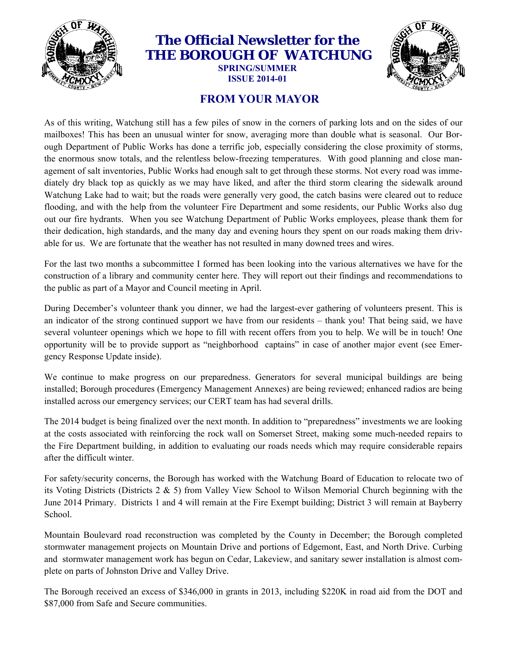

#### **The Official Newsletter for the THE BOROUGH OF WATCHUNG**

**SPRING/SUMMER ISSUE 2014-01** 



#### **FROM YOUR MAYOR**

As of this writing, Watchung still has a few piles of snow in the corners of parking lots and on the sides of our mailboxes! This has been an unusual winter for snow, averaging more than double what is seasonal. Our Borough Department of Public Works has done a terrific job, especially considering the close proximity of storms, the enormous snow totals, and the relentless below-freezing temperatures. With good planning and close management of salt inventories, Public Works had enough salt to get through these storms. Not every road was immediately dry black top as quickly as we may have liked, and after the third storm clearing the sidewalk around Watchung Lake had to wait; but the roads were generally very good, the catch basins were cleared out to reduce flooding, and with the help from the volunteer Fire Department and some residents, our Public Works also dug out our fire hydrants. When you see Watchung Department of Public Works employees, please thank them for their dedication, high standards, and the many day and evening hours they spent on our roads making them drivable for us. We are fortunate that the weather has not resulted in many downed trees and wires.

For the last two months a subcommittee I formed has been looking into the various alternatives we have for the construction of a library and community center here. They will report out their findings and recommendations to the public as part of a Mayor and Council meeting in April.

During December's volunteer thank you dinner, we had the largest-ever gathering of volunteers present. This is an indicator of the strong continued support we have from our residents – thank you! That being said, we have several volunteer openings which we hope to fill with recent offers from you to help. We will be in touch! One opportunity will be to provide support as "neighborhood captains" in case of another major event (see Emergency Response Update inside).

We continue to make progress on our preparedness. Generators for several municipal buildings are being installed; Borough procedures (Emergency Management Annexes) are being reviewed; enhanced radios are being installed across our emergency services; our CERT team has had several drills.

The 2014 budget is being finalized over the next month. In addition to "preparedness" investments we are looking at the costs associated with reinforcing the rock wall on Somerset Street, making some much-needed repairs to the Fire Department building, in addition to evaluating our roads needs which may require considerable repairs after the difficult winter.

For safety/security concerns, the Borough has worked with the Watchung Board of Education to relocate two of its Voting Districts (Districts 2 & 5) from Valley View School to Wilson Memorial Church beginning with the June 2014 Primary. Districts 1 and 4 will remain at the Fire Exempt building; District 3 will remain at Bayberry School.

Mountain Boulevard road reconstruction was completed by the County in December; the Borough completed stormwater management projects on Mountain Drive and portions of Edgemont, East, and North Drive. Curbing and stormwater management work has begun on Cedar, Lakeview, and sanitary sewer installation is almost complete on parts of Johnston Drive and Valley Drive.

The Borough received an excess of \$346,000 in grants in 2013, including \$220K in road aid from the DOT and \$87,000 from Safe and Secure communities.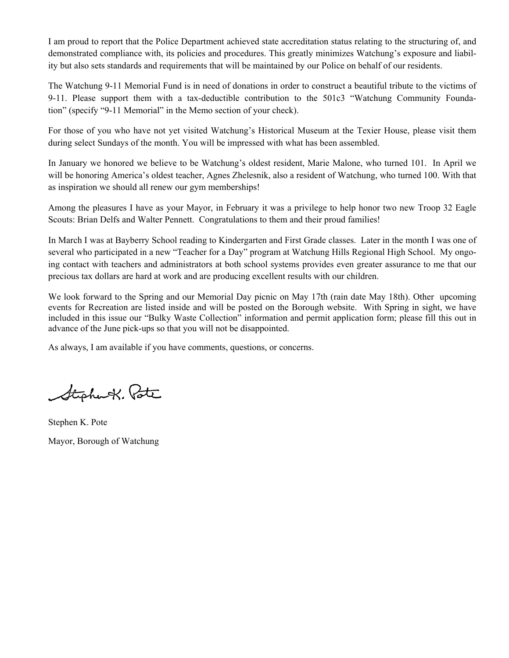I am proud to report that the Police Department achieved state accreditation status relating to the structuring of, and demonstrated compliance with, its policies and procedures. This greatly minimizes Watchung's exposure and liability but also sets standards and requirements that will be maintained by our Police on behalf of our residents.

The Watchung 9-11 Memorial Fund is in need of donations in order to construct a beautiful tribute to the victims of 9-11. Please support them with a tax-deductible contribution to the 501c3 "Watchung Community Foundation" (specify "9-11 Memorial" in the Memo section of your check).

For those of you who have not yet visited Watchung's Historical Museum at the Texier House, please visit them during select Sundays of the month. You will be impressed with what has been assembled.

In January we honored we believe to be Watchung's oldest resident, Marie Malone, who turned 101. In April we will be honoring America's oldest teacher, Agnes Zhelesnik, also a resident of Watchung, who turned 100. With that as inspiration we should all renew our gym memberships!

Among the pleasures I have as your Mayor, in February it was a privilege to help honor two new Troop 32 Eagle Scouts: Brian Delfs and Walter Pennett. Congratulations to them and their proud families!

In March I was at Bayberry School reading to Kindergarten and First Grade classes. Later in the month I was one of several who participated in a new "Teacher for a Day" program at Watchung Hills Regional High School. My ongoing contact with teachers and administrators at both school systems provides even greater assurance to me that our precious tax dollars are hard at work and are producing excellent results with our children.

We look forward to the Spring and our Memorial Day picnic on May 17th (rain date May 18th). Other upcoming events for Recreation are listed inside and will be posted on the Borough website. With Spring in sight, we have included in this issue our "Bulky Waste Collection" information and permit application form; please fill this out in advance of the June pick-ups so that you will not be disappointed.

As always, I am available if you have comments, questions, or concerns.

Stephart. Pote

Stephen K. Pote Mayor, Borough of Watchung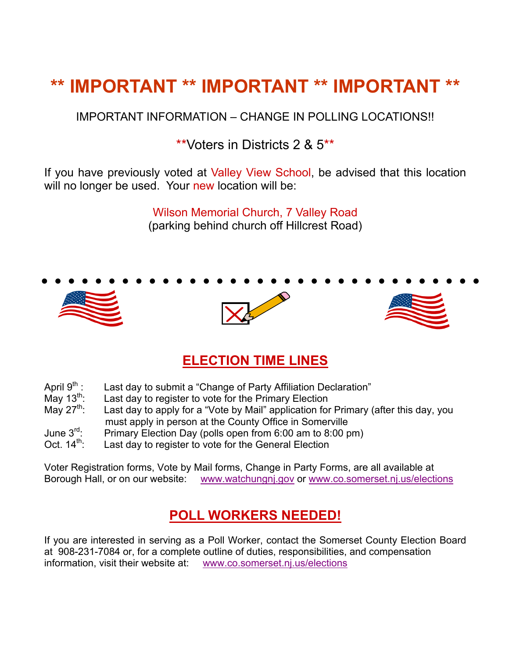## **\*\* IMPORTANT \*\* IMPORTANT \*\* IMPORTANT \*\***

IMPORTANT INFORMATION – CHANGE IN POLLING LOCATIONS!!

\*\*Voters in Districts 2 & 5\*\*

If you have previously voted at Valley View School, be advised that this location will no longer be used. Your new location will be:

> Wilson Memorial Church, 7 Valley Road (parking behind church off Hillcrest Road)

# • • • • • • • • • • • • • • • • • • • • • • • • • • • • • • • • •

#### **ELECTION TIME LINES**

| April 9 <sup>th</sup> : | Last day to submit a "Change of Party Affiliation Declaration" |
|-------------------------|----------------------------------------------------------------|
|                         |                                                                |

May 13<sup>th</sup>: Last day to register to vote for the Primary Election May  $27^{th}$ : Last day to apply for a "Vote by Mail" application for Last day to apply for a "Vote by Mail" application for Primary (after this day, you must apply in person at the County Office in Somerville<br>June 3<sup>rd</sup>: Primary Election Day (polls open from 6:00 am to 8:00 p

Primary Election Day (polls open from 6:00 am to 8:00 pm)

Oct.  $14<sup>th</sup>$ : Last day to register to vote for the General Election

Voter Registration forms, Vote by Mail forms, Change in Party Forms, are all available at Borough Hall, or on our website: www.watchungnj.gov or www.co.somerset.nj.us/elections

#### **POLL WORKERS NEEDED!**

If you are interested in serving as a Poll Worker, contact the Somerset County Election Board at 908-231-7084 or, for a complete outline of duties, responsibilities, and compensation information, visit their website at: www.co.somerset.nj.us/elections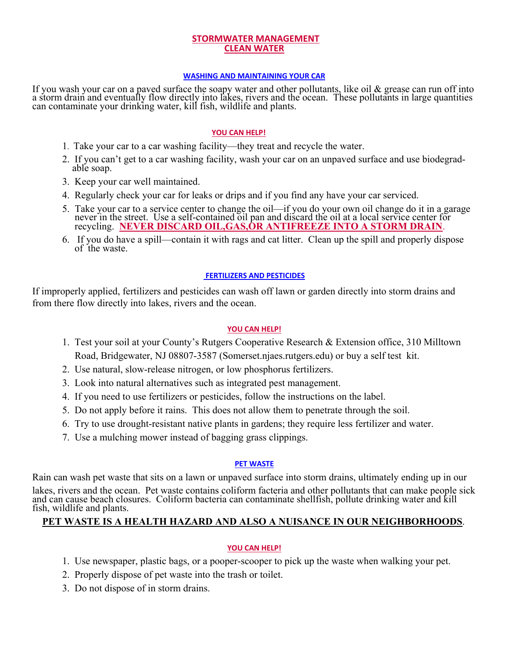#### **STORMWATER MANAGEMENT CLEAN WATER**

#### **WASHING AND MAINTAINING YOUR CAR**

If you wash your car on a paved surface the soapy water and other pollutants, like oil & grease can run off into a storm drain and eventually flow directly into lakes, rivers and the ocean. These pollutants in large quanti

#### **YOU CAN HELP!**

- 1. Take your car to a car washing facility—they treat and recycle the water.
- 2. If you can't get to a car washing facility, wash your car on an unpaved surface and use biodegrad- able soap.
- 3. Keep your car well maintained.
- 4. Regularly check your car for leaks or drips and if you find any have your car serviced.
- 5. Take your car to a service center to change the oil—if you do your own oil change do it in a garage never in the street. Use a self-contained oil pan and discard the oil at a local service center for recycling. **NEVER DISCARD OIL,GAS,OR ANTIFREEZE INTO A STORM DRAIN**.
	- 6. If you do have a spill—contain it with rags and cat litter. Clean up the spill and properly dispose of the waste.

#### **FERTILIZERS AND PESTICIDES**

If improperly applied, fertilizers and pesticides can wash off lawn or garden directly into storm drains and from there flow directly into lakes, rivers and the ocean.

#### **YOU CAN HELP!**

- 1. Test your soil at your County's Rutgers Cooperative Research & Extension office, 310 Milltown Road, Bridgewater, NJ 08807-3587 (Somerset.njaes.rutgers.edu) or buy a self test kit.
- 2. Use natural, slow-release nitrogen, or low phosphorus fertilizers.
- 3. Look into natural alternatives such as integrated pest management.
- 4. If you need to use fertilizers or pesticides, follow the instructions on the label.
- 5. Do not apply before it rains. This does not allow them to penetrate through the soil.
- 6. Try to use drought-resistant native plants in gardens; they require less fertilizer and water.
- 7. Use a mulching mower instead of bagging grass clippings.

#### **PET WASTE**

Rain can wash pet waste that sits on a lawn or unpaved surface into storm drains, ultimately ending up in our lakes, rivers and the ocean. Pet waste contains coliform facteria and other pollutants that can make people sick<br>and can cause beach closures. Coliform bacteria can contaminate shellfish, pollute drinking water and kill<br>fi

#### **PET WASTE IS A HEALTH HAZARD AND ALSO A NUISANCE IN OUR NEIGHBORHOODS**.

#### **YOU CAN HELP!**

- 1. Use newspaper, plastic bags, or a pooper-scooper to pick up the waste when walking your pet.
- 2. Properly dispose of pet waste into the trash or toilet.
- 3. Do not dispose of in storm drains.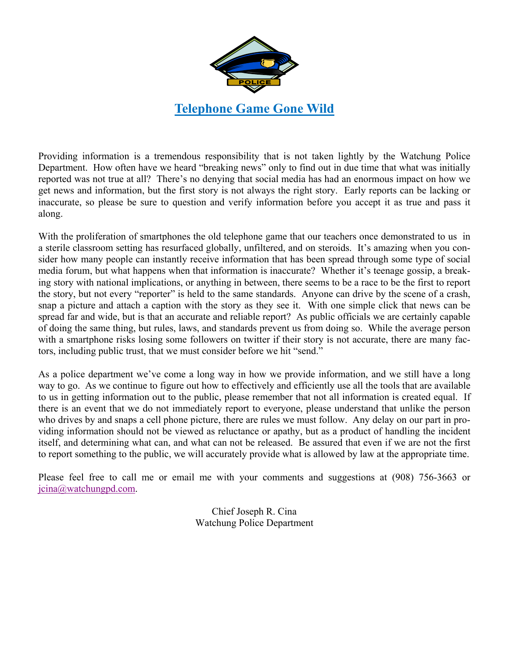

Providing information is a tremendous responsibility that is not taken lightly by the Watchung Police Department. How often have we heard "breaking news" only to find out in due time that what was initially reported was not true at all? There's no denying that social media has had an enormous impact on how we get news and information, but the first story is not always the right story. Early reports can be lacking or inaccurate, so please be sure to question and verify information before you accept it as true and pass it along.

With the proliferation of smartphones the old telephone game that our teachers once demonstrated to us in a sterile classroom setting has resurfaced globally, unfiltered, and on steroids. It's amazing when you consider how many people can instantly receive information that has been spread through some type of social media forum, but what happens when that information is inaccurate? Whether it's teenage gossip, a breaking story with national implications, or anything in between, there seems to be a race to be the first to report the story, but not every "reporter" is held to the same standards. Anyone can drive by the scene of a crash, snap a picture and attach a caption with the story as they see it. With one simple click that news can be spread far and wide, but is that an accurate and reliable report? As public officials we are certainly capable of doing the same thing, but rules, laws, and standards prevent us from doing so. While the average person with a smartphone risks losing some followers on twitter if their story is not accurate, there are many factors, including public trust, that we must consider before we hit "send."

As a police department we've come a long way in how we provide information, and we still have a long way to go. As we continue to figure out how to effectively and efficiently use all the tools that are available to us in getting information out to the public, please remember that not all information is created equal. If there is an event that we do not immediately report to everyone, please understand that unlike the person who drives by and snaps a cell phone picture, there are rules we must follow. Any delay on our part in providing information should not be viewed as reluctance or apathy, but as a product of handling the incident itself, and determining what can, and what can not be released. Be assured that even if we are not the first to report something to the public, we will accurately provide what is allowed by law at the appropriate time.

Please feel free to call me or email me with your comments and suggestions at (908) 756-3663 or jcina@watchungpd.com.

> Chief Joseph R. Cina Watchung Police Department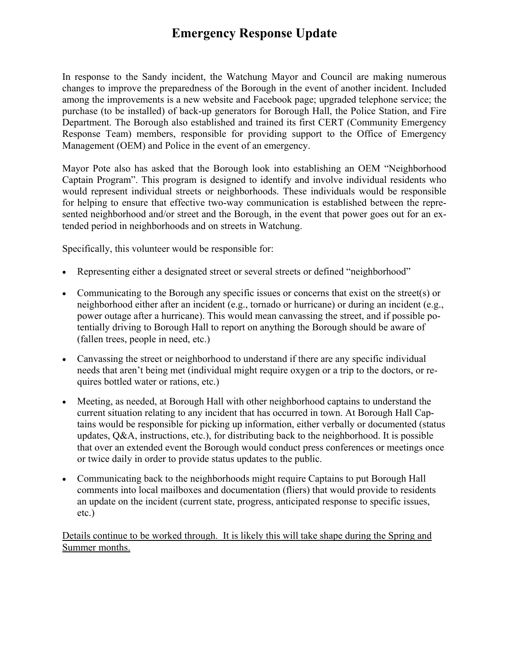#### **Emergency Response Update**

In response to the Sandy incident, the Watchung Mayor and Council are making numerous changes to improve the preparedness of the Borough in the event of another incident. Included among the improvements is a new website and Facebook page; upgraded telephone service; the purchase (to be installed) of back-up generators for Borough Hall, the Police Station, and Fire Department. The Borough also established and trained its first CERT (Community Emergency Response Team) members, responsible for providing support to the Office of Emergency Management (OEM) and Police in the event of an emergency.

Mayor Pote also has asked that the Borough look into establishing an OEM "Neighborhood Captain Program". This program is designed to identify and involve individual residents who would represent individual streets or neighborhoods. These individuals would be responsible for helping to ensure that effective two-way communication is established between the represented neighborhood and/or street and the Borough, in the event that power goes out for an extended period in neighborhoods and on streets in Watchung.

Specifically, this volunteer would be responsible for:

- Representing either a designated street or several streets or defined "neighborhood"
- Communicating to the Borough any specific issues or concerns that exist on the street(s) or neighborhood either after an incident (e.g., tornado or hurricane) or during an incident (e.g., power outage after a hurricane). This would mean canvassing the street, and if possible potentially driving to Borough Hall to report on anything the Borough should be aware of (fallen trees, people in need, etc.)
- Canvassing the street or neighborhood to understand if there are any specific individual needs that aren't being met (individual might require oxygen or a trip to the doctors, or requires bottled water or rations, etc.)
- Meeting, as needed, at Borough Hall with other neighborhood captains to understand the current situation relating to any incident that has occurred in town. At Borough Hall Captains would be responsible for picking up information, either verbally or documented (status updates, Q&A, instructions, etc.), for distributing back to the neighborhood. It is possible that over an extended event the Borough would conduct press conferences or meetings once or twice daily in order to provide status updates to the public.
- Communicating back to the neighborhoods might require Captains to put Borough Hall comments into local mailboxes and documentation (fliers) that would provide to residents an update on the incident (current state, progress, anticipated response to specific issues, etc.)

Details continue to be worked through. It is likely this will take shape during the Spring and Summer months.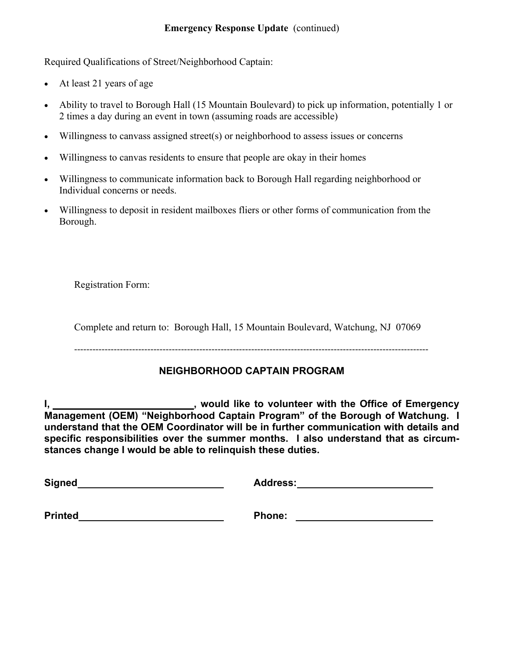#### **Emergency Response Update** (continued)

Required Qualifications of Street/Neighborhood Captain:

- At least 21 years of age
- Ability to travel to Borough Hall (15 Mountain Boulevard) to pick up information, potentially 1 or 2 times a day during an event in town (assuming roads are accessible)
- Willingness to canvass assigned street(s) or neighborhood to assess issues or concerns
- Willingness to canvas residents to ensure that people are okay in their homes
- Willingness to communicate information back to Borough Hall regarding neighborhood or Individual concerns or needs.
- Willingness to deposit in resident mailboxes fliers or other forms of communication from the Borough.

Registration Form:

Complete and return to: Borough Hall, 15 Mountain Boulevard, Watchung, NJ 07069

‐‐‐‐‐‐‐‐‐‐‐‐‐‐‐‐‐‐‐‐‐‐‐‐‐‐‐‐‐‐‐‐‐‐‐‐‐‐‐‐‐‐‐‐‐‐‐‐‐‐‐‐‐‐‐‐‐‐‐‐‐‐‐‐‐‐‐‐‐‐‐‐‐‐‐‐‐‐‐‐‐‐‐‐‐‐‐‐‐‐‐‐‐‐‐‐‐‐‐‐‐‐‐‐‐‐‐‐‐‐‐‐‐‐‐‐

#### **NEIGHBORHOOD CAPTAIN PROGRAM**

**I, \_\_\_\_\_\_\_\_\_\_\_\_\_\_\_\_\_\_\_\_\_\_\_\_\_\_\_\_**, would like to volunteer with the Office of Emergency **Management (OEM) "Neighborhood Captain Program" of the Borough of Watchung. I understand that the OEM Coordinator will be in further communication with details and specific responsibilities over the summer months. I also understand that as circumstances change I would be able to relinquish these duties.** 

**Signed Address:** Address:

**Printed Phone:**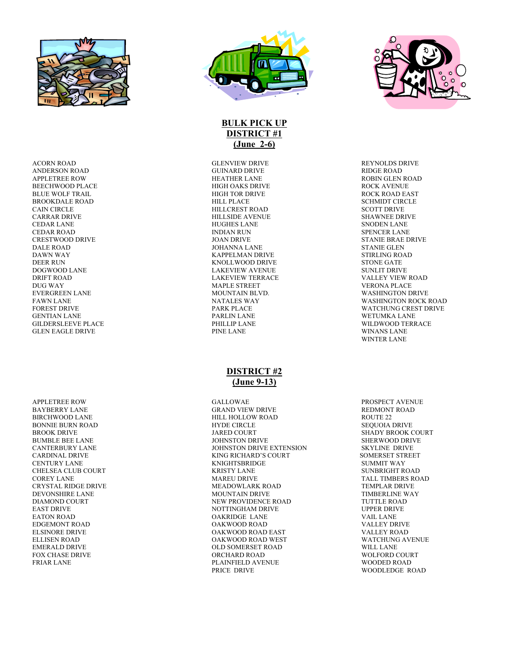

ACORN ROAD GLENVIEW DRIVE REYNOLDS DRIVE ANDERSON ROAD GUINARD DRIVE RIDGE ROAD BEECHWOOD PLACE HIGH OAKS DRIVE ROCK AVENUE BLUE WOLF TRAIL **EXECUTE:** HIGH TOR DRIVE **ROCK ROAD EAST** BROOKDALE ROAD HILL PLACE SCHMIDT CIRCLE CARRAR DRIVE HILLSIDE AVENUE SHAWNEE DRIVE CEDAR LANE HUGHES LANE SNODEN LANE CEDAR ROAD INDIAN RUN SPENCER LANE DALE ROAD JOHANNA LANE STANIE GLEN DEER RUN KNOLLWOOD DRIVE STONE GATE DRIFT ROAD LAKEVIEW TERRACE VALLEY VIEW ROAD DUG WAY MAPLE STREET VERONA PLACE EVERGREEN LANE MOUNTAIN BLVD. WASHINGTON DRIVE GILDERSLEEVE PLACE GLEN EAGLE DRIVE THE LANE PINE LANE THE PINE LANE WINANS LANE

APPLETREE ROW GALLOWAE PROSPECT AVENUE BAYBERRY LANE GRAND VIEW DRIVE GRAND VIEW DRIVE REDMONT ROAD AND SERVED BETWEEN A GRAND VIEW DRIVE CHELSEA CLUB COURT THE SUNBRIGHT RESERVED AND RESERVED BY A SUPER SURFACE ON A SUPER SURFACE ON A SUPER SURFACE OF SUPER SUPER SUPER SUPER SUPER SUPER SUPER SUPER SUPER SUPER SUPER SUPER SUPER SUPER SUPER SUPER SUPER SUPER DEVONSHIRE LANE EDGEMONT ROAD FOX CHASE DRIVE



#### **BULK PICK UP DISTRICT #1 (June 2-6)**

HEATHER LANE ROBIN GLEN ROAD HIGH OAKS DRIVE ROOK AVENUE HILLCREST ROAD KAPPELMAN DRIVE LAKEVIEW AVENUE

#### **DISTRICT #2 (June 9-13)**

HILL HOLLOW ROAD ROUTE 22 BONNIE BURN ROAD FOR THE SEQUOIA DRIVE CIRCLE SEQUOIA DRIVE BROOK DRIVE GENERAL BROOK OUR SHADY BROOK COURT AND SHADY BROOK COURT BUMBLE BEE LANE JOHNSTON DRIVE SHERWOOD DRIVE JOHNSTON DRIVE EXTENSION CARDINAL DRIVE KING RICHARD'S COURT SOMERSET STREET ERRIGHTSBRIDGE SUMMIT WAY SUMMIT WAY SUNBRIGHT ROAD COREY LANE MAREU DRIVE TALL TIMBERS ROAD CRYSTAL RIDGE DRIVE MEADOWLARK ROAD TEMPLAR DRIVE DIAMOND COURT NEW PROVIDENCE ROAD TUTTLE ROAD EAST DRIVE THE UPPER DRIVE NOTTINGHAM DRIVE THE UPPER DRIVE EATON ROAD OAKRIDGE LANE VAIL LANE ELSINORE DRIVE OAKWOOD ROAD EAST VALLEY ROAD OAKWOOD ROAD WEST EMERALD DRIVE OLD SOMERSET ROAD WILL LANE FRIAR LANE PLAINFIELD AVENUE WOODED ROAD



STANIE BRAE DRIVE WASHINGTON ROCK ROAD FOREST DRIVE PARK PLACE WATCHUNG CREST DRIVE GENTIAN LANE PARLIN LANE WETUMKA LANE WINTER LANE

WOODLEDGE ROAD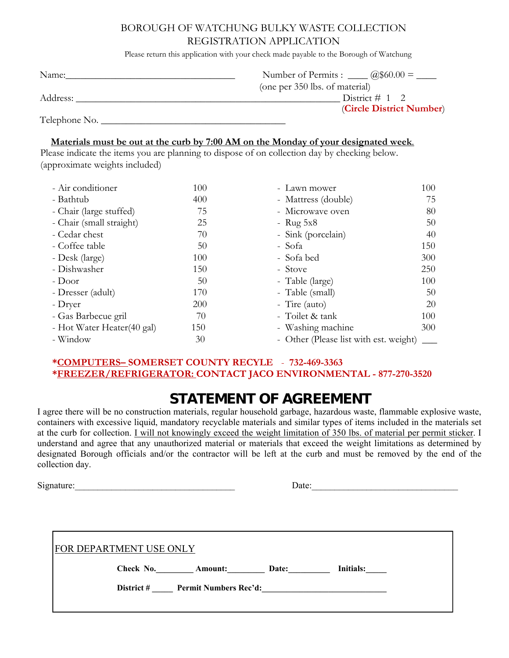#### BOROUGH OF WATCHUNG BULKY WASTE COLLECTION REGISTRATION APPLICATION

Please return this application with your check made payable to the Borough of Watchung

| Name:         | Number of Permits : $a$ $\infty$ 0.00 = $\frac{a}{1}$ |
|---------------|-------------------------------------------------------|
|               | (one per 350 lbs. of material)                        |
| Address:      | District # 1 2                                        |
|               | (Circle District Number)                              |
| Telephone No. |                                                       |

#### **Materials must be out at the curb by 7:00 AM on the Monday of your designated week**.

Please indicate the items you are planning to dispose of on collection day by checking below. (approximate weights included)

| - Air conditioner          | 100 | - Lawn mower                           | 100 |
|----------------------------|-----|----------------------------------------|-----|
| - Bathtub                  | 400 | - Mattress (double)                    | 75  |
| - Chair (large stuffed)    | 75  | - Microwave oven                       | 80  |
| - Chair (small straight)   | 25  | - Rug $5x8$                            | 50  |
| - Cedar chest              | 70  | - Sink (porcelain)                     | 40  |
| - Coffee table             | 50  | - Sofa                                 | 150 |
| - Desk (large)             | 100 | - Sofa bed                             | 300 |
| - Dishwasher               | 150 | - Stove                                | 250 |
| - Door                     | 50  | - Table (large)                        | 100 |
| - Dresser (adult)          | 170 | - Table (small)                        | 50  |
| - Dryer                    | 200 | - Tire (auto)                          | 20  |
| - Gas Barbecue gril        | 70  | - Toilet & tank                        | 100 |
| - Hot Water Heater(40 gal) | 150 | - Washing machine                      | 300 |
| - Window                   | 30  | - Other (Please list with est. weight) |     |

#### **\*COMPUTERS– SOMERSET COUNTY RECYLE** - **732-469-3363 \*FREEZER/REFRIGERATOR: CONTACT JACO ENVIRONMENTAL - 877-270-3520**

#### **STATEMENT OF AGREEMENT**

I agree there will be no construction materials, regular household garbage, hazardous waste, flammable explosive waste, containers with excessive liquid, mandatory recyclable materials and similar types of items included in the materials set at the curb for collection. I will not knowingly exceed the weight limitation of 350 lbs. of material per permit sticker. I understand and agree that any unauthorized material or materials that exceed the weight limitations as determined by designated Borough officials and/or the contractor will be left at the curb and must be removed by the end of the collection day.

Signature: The Date of  $\Box$  Date of  $\Box$  Date of  $\Box$  Date of  $\Box$  Date of  $\Box$  Date of  $\Box$  Date

| te: |  |  |  |  |  |
|-----|--|--|--|--|--|
|     |  |  |  |  |  |

| <b>FOR DEPARTMENT USE ONLY</b> |            |                       |       |           |
|--------------------------------|------------|-----------------------|-------|-----------|
|                                | Check No.  | <b>Amount:</b>        | Date: | Initials: |
|                                | District # | Permit Numbers Rec'd: |       |           |
|                                |            |                       |       |           |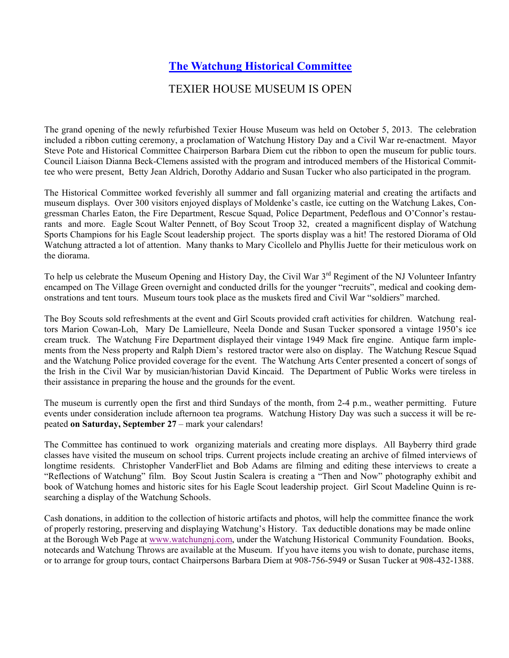#### **The Watchung Historical Committee**

#### TEXIER HOUSE MUSEUM IS OPEN

The grand opening of the newly refurbished Texier House Museum was held on October 5, 2013. The celebration included a ribbon cutting ceremony, a proclamation of Watchung History Day and a Civil War re-enactment. Mayor Steve Pote and Historical Committee Chairperson Barbara Diem cut the ribbon to open the museum for public tours. Council Liaison Dianna Beck-Clemens assisted with the program and introduced members of the Historical Committee who were present, Betty Jean Aldrich, Dorothy Addario and Susan Tucker who also participated in the program.

The Historical Committee worked feverishly all summer and fall organizing material and creating the artifacts and museum displays. Over 300 visitors enjoyed displays of Moldenke's castle, ice cutting on the Watchung Lakes, Congressman Charles Eaton, the Fire Department, Rescue Squad, Police Department, Pedeflous and O'Connor's restaurants and more. Eagle Scout Walter Pennett, of Boy Scout Troop 32, created a magnificent display of Watchung Sports Champions for his Eagle Scout leadership project. The sports display was a hit! The restored Diorama of Old Watchung attracted a lot of attention. Many thanks to Mary Cicollelo and Phyllis Juette for their meticulous work on the diorama.

To help us celebrate the Museum Opening and History Day, the Civil War 3<sup>rd</sup> Regiment of the NJ Volunteer Infantry encamped on The Village Green overnight and conducted drills for the younger "recruits", medical and cooking demonstrations and tent tours. Museum tours took place as the muskets fired and Civil War "soldiers" marched.

The Boy Scouts sold refreshments at the event and Girl Scouts provided craft activities for children. Watchung realtors Marion Cowan-Loh, Mary De Lamielleure, Neela Donde and Susan Tucker sponsored a vintage 1950's ice cream truck. The Watchung Fire Department displayed their vintage 1949 Mack fire engine. Antique farm implements from the Ness property and Ralph Diem's restored tractor were also on display. The Watchung Rescue Squad and the Watchung Police provided coverage for the event. The Watchung Arts Center presented a concert of songs of the Irish in the Civil War by musician/historian David Kincaid. The Department of Public Works were tireless in their assistance in preparing the house and the grounds for the event.

The museum is currently open the first and third Sundays of the month, from 2-4 p.m., weather permitting. Future events under consideration include afternoon tea programs. Watchung History Day was such a success it will be repeated **on Saturday, September 27** – mark your calendars!

The Committee has continued to work organizing materials and creating more displays. All Bayberry third grade classes have visited the museum on school trips. Current projects include creating an archive of filmed interviews of longtime residents. Christopher VanderFliet and Bob Adams are filming and editing these interviews to create a "Reflections of Watchung" film. Boy Scout Justin Scalera is creating a "Then and Now" photography exhibit and book of Watchung homes and historic sites for his Eagle Scout leadership project. Girl Scout Madeline Quinn is researching a display of the Watchung Schools.

Cash donations, in addition to the collection of historic artifacts and photos, will help the committee finance the work of properly restoring, preserving and displaying Watchung's History. Tax deductible donations may be made online at the Borough Web Page at www.watchungnj.com, under the Watchung Historical Community Foundation. Books, notecards and Watchung Throws are available at the Museum. If you have items you wish to donate, purchase items, or to arrange for group tours, contact Chairpersons Barbara Diem at 908-756-5949 or Susan Tucker at 908-432-1388.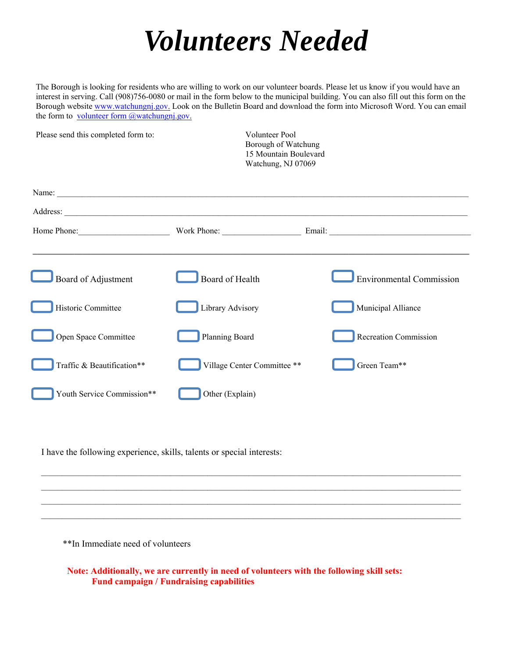## *Volunteers Needed*

The Borough is looking for residents who are willing to work on our volunteer boards. Please let us know if you would have an interest in serving. Call (908)756-0080 or mail in the form below to the municipal building. You can also fill out this form on the Borough website www.watchungnj.gov. Look on the Bulletin Board and download the form into Microsoft Word. You can email the form to volunteer form  $\omega$  watchungni.gov.

| Please send this completed form to: | <b>Volunteer Pool</b><br>Borough of Watchung<br>15 Mountain Boulevard<br>Watchung, NJ 07069 |                                                   |
|-------------------------------------|---------------------------------------------------------------------------------------------|---------------------------------------------------|
|                                     |                                                                                             |                                                   |
|                                     |                                                                                             |                                                   |
|                                     |                                                                                             | Home Phone: Work Phone: Work Phone: Email: Email: |
| Board of Adjustment                 | Board of Health                                                                             | <b>Environmental Commission</b>                   |
| Historic Committee                  | Library Advisory                                                                            | Municipal Alliance                                |
| Open Space Committee                | Planning Board                                                                              | <b>Recreation Commission</b>                      |
| Traffic & Beautification**          | Village Center Committee **                                                                 | Green Team**                                      |
| Youth Service Commission**          | Other (Explain)                                                                             |                                                   |

I have the following experience, skills, talents or special interests:

\*\*In Immediate need of volunteers

 **Note: Additionally, we are currently in need of volunteers with the following skill sets: Fund campaign / Fundraising capabilities**

 $\mathcal{L}_\text{max} = \frac{1}{2} \sum_{i=1}^n \mathcal{L}_\text{max} = \frac{1}{2} \sum_{i=1}^n \mathcal{L}_\text{max} = \frac{1}{2} \sum_{i=1}^n \mathcal{L}_\text{max} = \frac{1}{2} \sum_{i=1}^n \mathcal{L}_\text{max} = \frac{1}{2} \sum_{i=1}^n \mathcal{L}_\text{max} = \frac{1}{2} \sum_{i=1}^n \mathcal{L}_\text{max} = \frac{1}{2} \sum_{i=1}^n \mathcal{L}_\text{max} = \frac{1}{2} \sum_{i=$  $\mathcal{L}_\text{max}$  , and the state of the state of the state of the state of the state of the state of the state of the state of the state of the state of the state of the state of the state of the state of the state of the st  $\mathcal{L}_\text{max} = \frac{1}{2} \sum_{i=1}^n \mathcal{L}_\text{max} = \frac{1}{2} \sum_{i=1}^n \mathcal{L}_\text{max} = \frac{1}{2} \sum_{i=1}^n \mathcal{L}_\text{max} = \frac{1}{2} \sum_{i=1}^n \mathcal{L}_\text{max} = \frac{1}{2} \sum_{i=1}^n \mathcal{L}_\text{max} = \frac{1}{2} \sum_{i=1}^n \mathcal{L}_\text{max} = \frac{1}{2} \sum_{i=1}^n \mathcal{L}_\text{max} = \frac{1}{2} \sum_{i=$  $\mathcal{L}_\text{max}$  , and the state of the state of the state of the state of the state of the state of the state of the state of the state of the state of the state of the state of the state of the state of the state of the st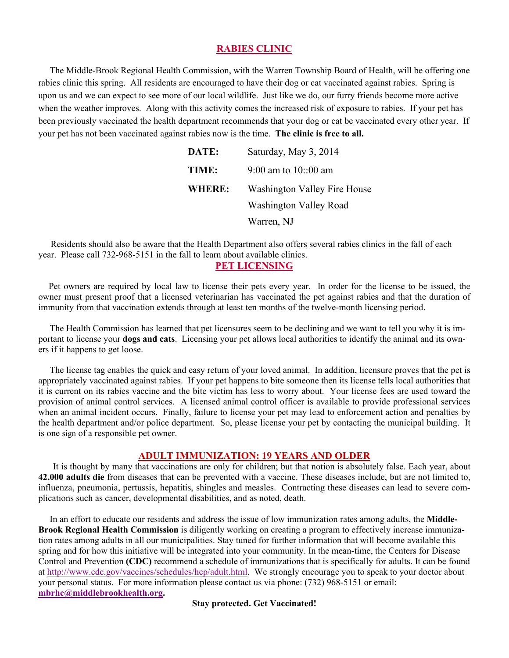#### **RABIES CLINIC**

 The Middle-Brook Regional Health Commission, with the Warren Township Board of Health, will be offering one rabies clinic this spring. All residents are encouraged to have their dog or cat vaccinated against rabies. Spring is upon us and we can expect to see more of our local wildlife. Just like we do, our furry friends become more active when the weather improves. Along with this activity comes the increased risk of exposure to rabies. If your pet has been previously vaccinated the health department recommends that your dog or cat be vaccinated every other year. If your pet has not been vaccinated against rabies now is the time. **The clinic is free to all.**

| DATE:         | Saturday, May 3, 2014         |
|---------------|-------------------------------|
| TIME:         | 9:00 am to $10::00$ am        |
| <b>WHERE:</b> | Washington Valley Fire House  |
|               | <b>Washington Valley Road</b> |
|               | Warren, NJ                    |

 Residents should also be aware that the Health Department also offers several rabies clinics in the fall of each year. Please call 732-968-5151 in the fall to learn about available clinics.

#### **PET LICENSING**

 Pet owners are required by local law to license their pets every year. In order for the license to be issued, the owner must present proof that a licensed veterinarian has vaccinated the pet against rabies and that the duration of immunity from that vaccination extends through at least ten months of the twelve-month licensing period.

 The Health Commission has learned that pet licensures seem to be declining and we want to tell you why it is important to license your **dogs and cats**. Licensing your pet allows local authorities to identify the animal and its owners if it happens to get loose.

 The license tag enables the quick and easy return of your loved animal. In addition, licensure proves that the pet is appropriately vaccinated against rabies. If your pet happens to bite someone then its license tells local authorities that it is current on its rabies vaccine and the bite victim has less to worry about. Your license fees are used toward the provision of animal control services. A licensed animal control officer is available to provide professional services when an animal incident occurs. Finally, failure to license your pet may lead to enforcement action and penalties by the health department and/or police department. So, please license your pet by contacting the municipal building. It is one sign of a responsible pet owner.

#### **ADULT IMMUNIZATION: 19 YEARS AND OLDER**

 It is thought by many that vaccinations are only for children; but that notion is absolutely false. Each year, about **42,000 adults die** from diseases that can be prevented with a vaccine. These diseases include, but are not limited to, influenza, pneumonia, pertussis, hepatitis, shingles and measles. Contracting these diseases can lead to severe complications such as cancer, developmental disabilities, and as noted, death.

 In an effort to educate our residents and address the issue of low immunization rates among adults, the **Middle-Brook Regional Health Commission** is diligently working on creating a program to effectively increase immunization rates among adults in all our municipalities. Stay tuned for further information that will become available this spring and for how this initiative will be integrated into your community. In the mean-time, the Centers for Disease Control and Prevention **(CDC)** recommend a schedule of immunizations that is specifically for adults. It can be found at http://www.cdc.gov/vaccines/schedules/hcp/adult.html. We strongly encourage you to speak to your doctor about your personal status. For more information please contact us via phone: (732) 968-5151 or email: **mbrhc@middlebrookhealth.org.** 

**Stay protected. Get Vaccinated!**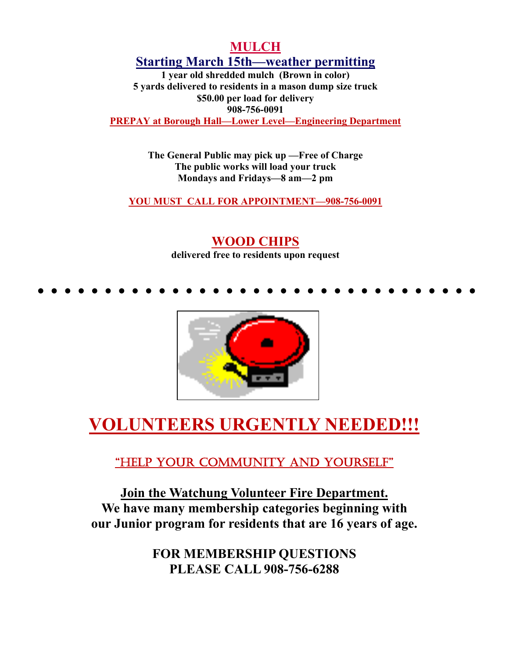#### **MULCH Starting March 15th—weather permitting**

**1 year old shredded mulch (Brown in color) 5 yards delivered to residents in a mason dump size truck \$50.00 per load for delivery 908-756-0091 PREPAY at Borough Hall—Lower Level—Engineering Department**

> **The General Public may pick up —Free of Charge The public works will load your truck Mondays and Fridays—8 am—2 pm**

**YOU MUST CALL FOR APPOINTMENT—908-756-0091**

#### **WOOD CHIPS delivered free to residents upon request**

• • • • • • • • • • • • • • • • • • • • • • • • • • • • • • • • •



## **VOLUNTEERS URGENTLY NEEDED!!!**

"HELP YOUR COMMUNITY AND YOURSELF"

**Join the Watchung Volunteer Fire Department. We have many membership categories beginning with our Junior program for residents that are 16 years of age.** 

> **FOR MEMBERSHIP QUESTIONS PLEASE CALL 908-756-6288**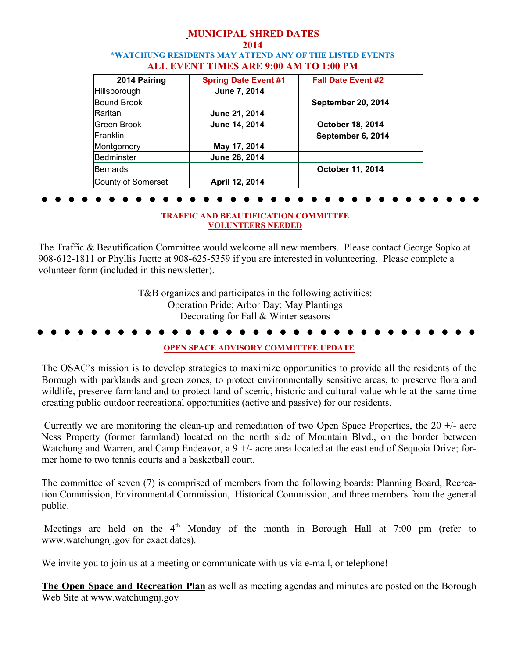#### **MUNICIPAL SHRED DATES 2014 \*WATCHUNG RESIDENTS MAY ATTEND ANY OF THE LISTED EVENTS ALL EVENT TIMES ARE 9:00 AM TO 1:00 PM**

| 2014 Pairing       | <b>Spring Date Event #1</b> | <b>Fall Date Event #2</b> |
|--------------------|-----------------------------|---------------------------|
| Hillsborough       | June 7, 2014                |                           |
| <b>Bound Brook</b> |                             | September 20, 2014        |
| Raritan            | June 21, 2014               |                           |
| Green Brook        | June 14, 2014               | <b>October 18, 2014</b>   |
| Franklin           |                             | September 6, 2014         |
| Montgomery         | May 17, 2014                |                           |
| <b>Bedminster</b>  | June 28, 2014               |                           |
| Bernards           |                             | October 11, 2014          |
| County of Somerset | April 12, 2014              |                           |

## • • • • • • • • • • • • • • • • • • • • • • • • • • • • • • • • •

#### **TRAFFIC AND BEAUTIFICATION COMMITTEE VOLUNTEERS NEEDED**

The Traffic & Beautification Committee would welcome all new members. Please contact George Sopko at 908-612-1811 or Phyllis Juette at 908-625-5359 if you are interested in volunteering. Please complete a volunteer form (included in this newsletter).

> T&B organizes and participates in the following activities: Operation Pride; Arbor Day; May Plantings Decorating for Fall & Winter seasons

## • • • • • • • • • • • • • • • • • • • • • • • • • • • • • • • • •

#### **OPEN SPACE ADVISORY COMMITTEE UPDATE**

The OSAC's mission is to develop strategies to maximize opportunities to provide all the residents of the Borough with parklands and green zones, to protect environmentally sensitive areas, to preserve flora and wildlife, preserve farmland and to protect land of scenic, historic and cultural value while at the same time creating public outdoor recreational opportunities (active and passive) for our residents.

Currently we are monitoring the clean-up and remediation of two Open Space Properties, the 20  $+/-$  acre Ness Property (former farmland) located on the north side of Mountain Blvd., on the border between Watchung and Warren, and Camp Endeavor, a 9 +/- acre area located at the east end of Sequoia Drive; former home to two tennis courts and a basketball court.

The committee of seven (7) is comprised of members from the following boards: Planning Board, Recreation Commission, Environmental Commission, Historical Commission, and three members from the general public.

Meetings are held on the  $4<sup>th</sup>$  Monday of the month in Borough Hall at 7:00 pm (refer to www.watchungnj.gov for exact dates).

We invite you to join us at a meeting or communicate with us via e-mail, or telephone!

**The Open Space and Recreation Plan** as well as meeting agendas and minutes are posted on the Borough Web Site at www.watchungnj.gov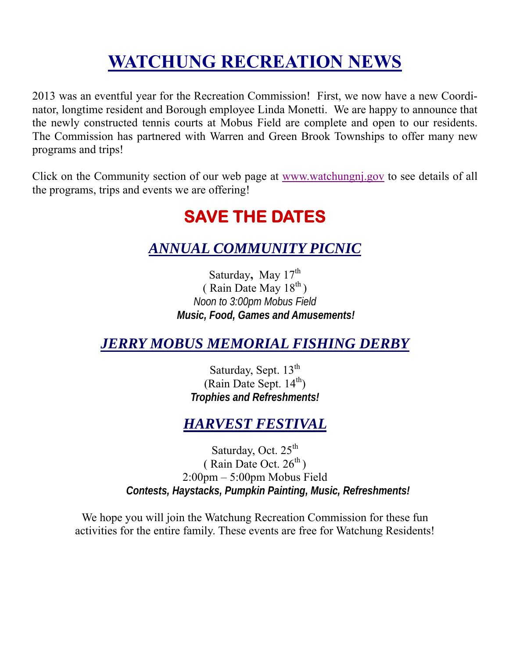## **WATCHUNG RECREATION NEWS**

2013 was an eventful year for the Recreation Commission! First, we now have a new Coordinator, longtime resident and Borough employee Linda Monetti. We are happy to announce that the newly constructed tennis courts at Mobus Field are complete and open to our residents. The Commission has partnered with Warren and Green Brook Townships to offer many new programs and trips!

Click on the Community section of our web page at www.watchungnj.gov to see details of all the programs, trips and events we are offering!

## **SAVE THE DATES**

#### *ANNUAL COMMUNITY PICNIC*

Saturday, May 17<sup>th</sup>  $(Rain Date May 18<sup>th</sup>)$ *Noon to 3:00pm Mobus Field Music, Food, Games and Amusements!* 

#### *JERRY MOBUS MEMORIAL FISHING DERBY*

Saturday, Sept. 13<sup>th</sup> (Rain Date Sept.  $14<sup>th</sup>$ ) *Trophies and Refreshments!* 

### *HARVEST FESTIVAL*

Saturday, Oct.  $25<sup>th</sup>$ ( Rain Date Oct.  $26^{th}$ ) 2:00pm – 5:00pm Mobus Field *Contests, Haystacks, Pumpkin Painting, Music, Refreshments!* 

We hope you will join the Watchung Recreation Commission for these fun activities for the entire family. These events are free for Watchung Residents!